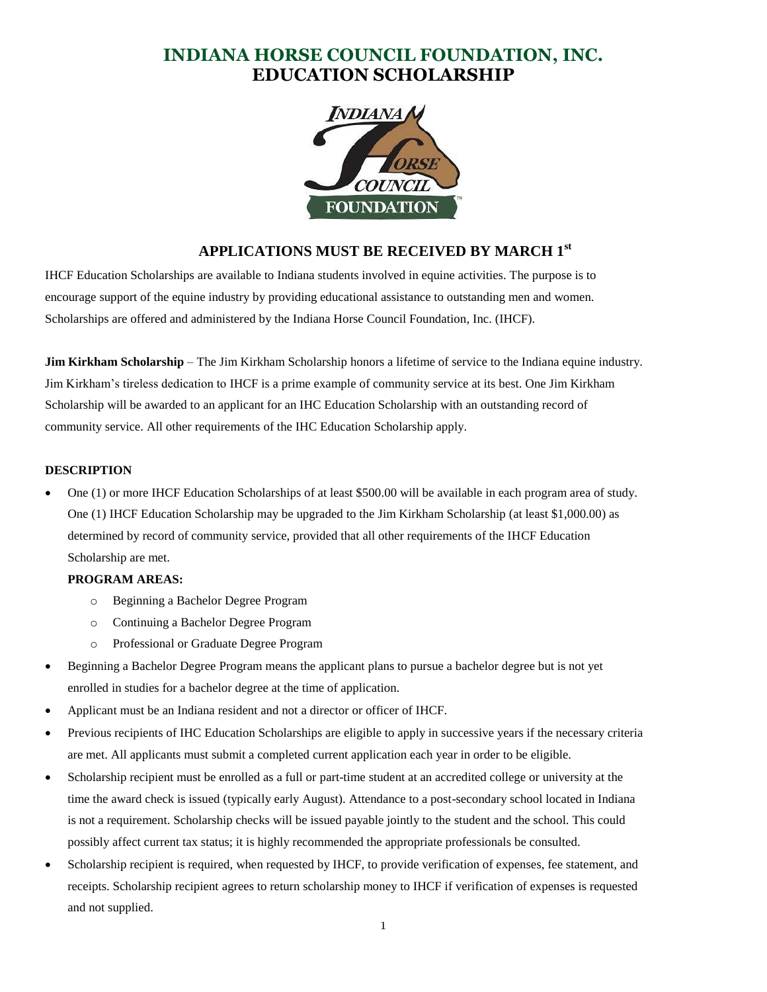# **INDIANA HORSE COUNCIL FOUNDATION, INC. EDUCATION SCHOLARSHIP**



# **APPLICATIONS MUST BE RECEIVED BY MARCH 1st**

IHCF Education Scholarships are available to Indiana students involved in equine activities. The purpose is to encourage support of the equine industry by providing educational assistance to outstanding men and women. Scholarships are offered and administered by the Indiana Horse Council Foundation, Inc. (IHCF).

**Jim Kirkham Scholarship** – The Jim Kirkham Scholarship honors a lifetime of service to the Indiana equine industry. Jim Kirkham's tireless dedication to IHCF is a prime example of community service at its best. One Jim Kirkham Scholarship will be awarded to an applicant for an IHC Education Scholarship with an outstanding record of community service. All other requirements of the IHC Education Scholarship apply.

#### **DESCRIPTION**

 One (1) or more IHCF Education Scholarships of at least \$500.00 will be available in each program area of study. One (1) IHCF Education Scholarship may be upgraded to the Jim Kirkham Scholarship (at least \$1,000.00) as determined by record of community service, provided that all other requirements of the IHCF Education Scholarship are met.

### **PROGRAM AREAS:**

- o Beginning a Bachelor Degree Program
- o Continuing a Bachelor Degree Program
- o Professional or Graduate Degree Program
- Beginning a Bachelor Degree Program means the applicant plans to pursue a bachelor degree but is not yet enrolled in studies for a bachelor degree at the time of application.
- Applicant must be an Indiana resident and not a director or officer of IHCF.
- Previous recipients of IHC Education Scholarships are eligible to apply in successive years if the necessary criteria are met. All applicants must submit a completed current application each year in order to be eligible.
- Scholarship recipient must be enrolled as a full or part-time student at an accredited college or university at the time the award check is issued (typically early August). Attendance to a post-secondary school located in Indiana is not a requirement. Scholarship checks will be issued payable jointly to the student and the school. This could possibly affect current tax status; it is highly recommended the appropriate professionals be consulted.
- Scholarship recipient is required, when requested by IHCF, to provide verification of expenses, fee statement, and receipts. Scholarship recipient agrees to return scholarship money to IHCF if verification of expenses is requested and not supplied.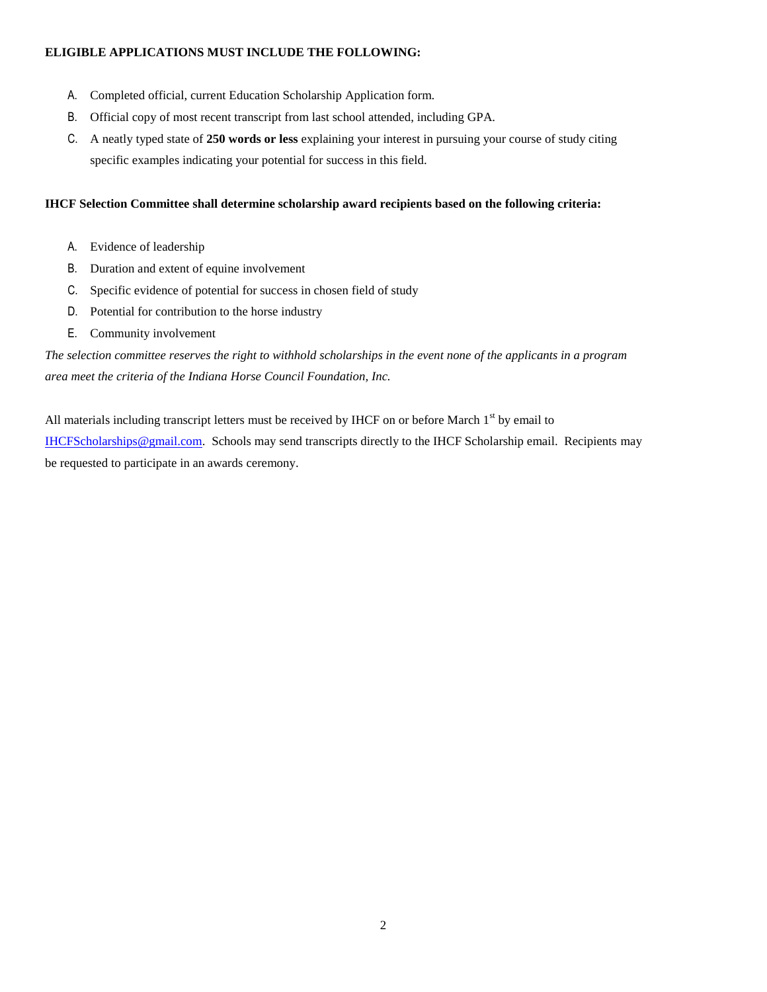### **ELIGIBLE APPLICATIONS MUST INCLUDE THE FOLLOWING:**

- A. Completed official, current Education Scholarship Application form.
- B. Official copy of most recent transcript from last school attended, including GPA.
- C. A neatly typed state of **250 words or less** explaining your interest in pursuing your course of study citing specific examples indicating your potential for success in this field.

## **IHCF Selection Committee shall determine scholarship award recipients based on the following criteria:**

- A. Evidence of leadership
- B. Duration and extent of equine involvement
- C. Specific evidence of potential for success in chosen field of study
- D. Potential for contribution to the horse industry
- E. Community involvement

*The selection committee reserves the right to withhold scholarships in the event none of the applicants in a program area meet the criteria of the Indiana Horse Council Foundation, Inc.* 

All materials including transcript letters must be received by IHCF on or before March  $1<sup>st</sup>$  by email to IHCFScholarships@gmail.com. Schools may send transcripts directly to the IHCF Scholarship email. Recipients may be requested to participate in an awards ceremony.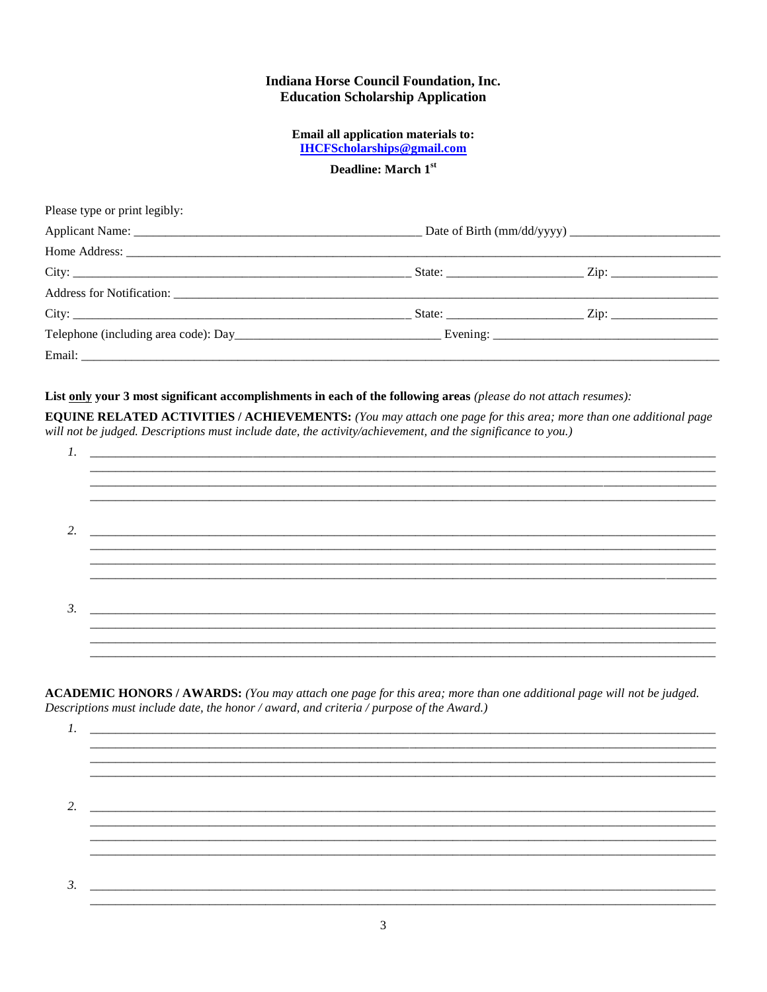## **Indiana Horse Council Foundation, Inc. Education Scholarship Application**

Email all application materials to: **IHCFScholarships@gmail.com** 

## Deadline: March 1st

| Please type or print legibly: |  |  |  |
|-------------------------------|--|--|--|
|                               |  |  |  |
|                               |  |  |  |
|                               |  |  |  |
|                               |  |  |  |
|                               |  |  |  |
|                               |  |  |  |
|                               |  |  |  |
|                               |  |  |  |

### List only your 3 most significant accomplishments in each of the following areas (please do not attach resumes):

**EQUINE RELATED ACTIVITIES / ACHIEVEMENTS: (You may attach one page for this area; more than one additional page** will not be judged. Descriptions must include date, the activity/achievement, and the significance to you.)

|           |  |  |  | ____________ |  |
|-----------|--|--|--|--------------|--|
|           |  |  |  |              |  |
|           |  |  |  |              |  |
| 2.        |  |  |  |              |  |
|           |  |  |  |              |  |
|           |  |  |  |              |  |
|           |  |  |  |              |  |
|           |  |  |  |              |  |
| $\beta$ . |  |  |  |              |  |
|           |  |  |  |              |  |
|           |  |  |  |              |  |
|           |  |  |  |              |  |
|           |  |  |  |              |  |

ACADEMIC HONORS / AWARDS: (You may attach one page for this area; more than one additional page will not be judged. Descriptions must include date, the honor / award, and criteria / purpose of the Award.)

 $1.$ <u> 1980 - Jan Barat, martin amerikan basar da</u>  $3.$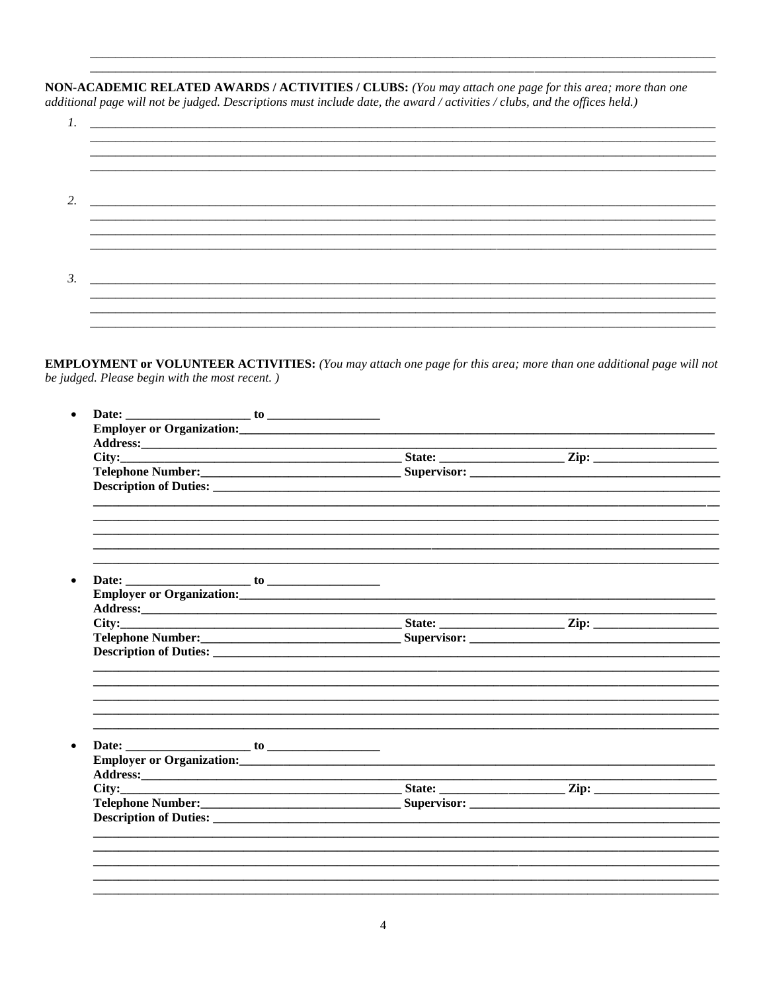NON-ACADEMIC RELATED AWARDS / ACTIVITIES / CLUBS: (You may attach one page for this area; more than one additional page will not be judged. Descriptions must include date, the award / activities / clubs, and the offices held.)

| $\overline{2}$ . |                                                             |
|------------------|-------------------------------------------------------------|
|                  |                                                             |
| 3.               | <u> 1999 - Johann Stein, Amerikaansk politiker († 1908)</u> |
|                  |                                                             |

**EMPLOYMENT or VOLUNTEER ACTIVITIES:** (You may attach one page for this area; more than one additional page will not be judged. Please begin with the most recent.)